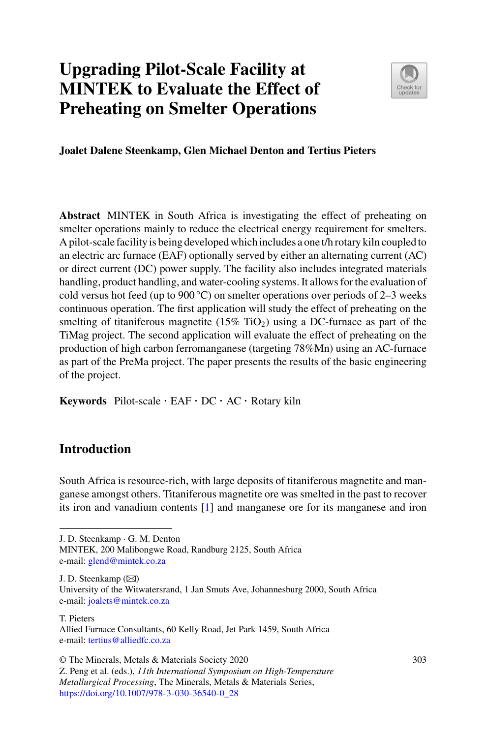# **Upgrading Pilot-Scale Facility at MINTEK to Evaluate the Effect of Preheating on Smelter Operations**



**Joalet Dalene Steenkamp, Glen Michael Denton and Tertius Pieters**

**Abstract** MINTEK in South Africa is investigating the effect of preheating on smelter operations mainly to reduce the electrical energy requirement for smelters. A pilot-scale facility is being developed which includes a one t/h rotary kiln coupled to an electric arc furnace (EAF) optionally served by either an alternating current (AC) or direct current (DC) power supply. The facility also includes integrated materials handling, product handling, and water-cooling systems. It allows for the evaluation of cold versus hot feed (up to 900 °C) on smelter operations over periods of 2–3 weeks continuous operation. The first application will study the effect of preheating on the smelting of titaniferous magnetite  $(15\%$  TiO<sub>2</sub>) using a DC-furnace as part of the TiMag project. The second application will evaluate the effect of preheating on the production of high carbon ferromanganese (targeting 78%Mn) using an AC-furnace as part of the PreMa project. The paper presents the results of the basic engineering of the project.

**Keywords** Pilot-scale · EAF · DC · AC · Rotary kiln

# **Introduction**

South Africa is resource-rich, with large deposits of titaniferous magnetite and manganese amongst others. Titaniferous magnetite ore was smelted in the past to recover its iron and vanadium contents [\[1\]](#page-14-0) and manganese ore for its manganese and iron

J. D. Steenkamp · G. M. Denton

MINTEK, 200 Malibongwe Road, Randburg 2125, South Africa e-mail: [glend@mintek.co.za](mailto:glend@mintek.co.za)

J. D. Steenkamp ( $\boxtimes$ )

University of the Witwatersrand, 1 Jan Smuts Ave, Johannesburg 2000, South Africa e-mail: [joalets@mintek.co.za](mailto:joalets@mintek.co.za)

T. Pieters

Allied Furnace Consultants, 60 Kelly Road, Jet Park 1459, South Africa e-mail: [tertius@alliedfc.co.za](mailto:tertius@alliedfc.co.za)

<sup>©</sup> The Minerals, Metals & Materials Society 2020

Z. Peng et al. (eds.), *11th International Symposium on High-Temperature Metallurgical Processing*, The Minerals, Metals & Materials Series, [https://doi.org/10.1007/978-3-030-36540-0\\_28](https://doi.org/10.1007/978-3-030-36540-0_28)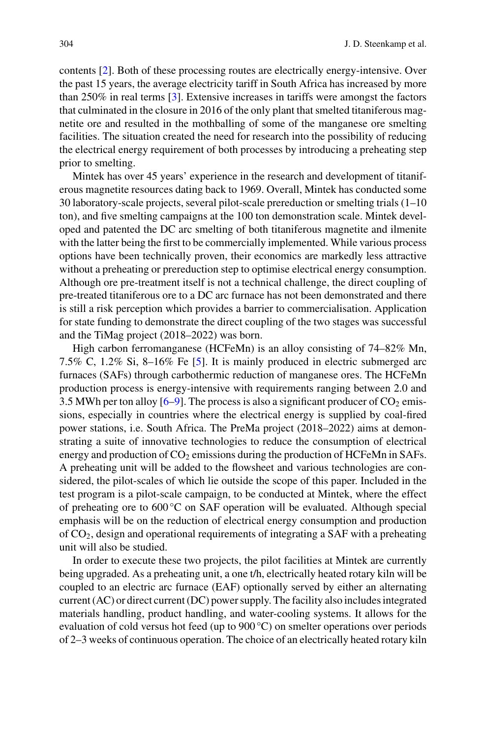contents [\[2\]](#page-14-1). Both of these processing routes are electrically energy-intensive. Over the past 15 years, the average electricity tariff in South Africa has increased by more than 250% in real terms [\[3\]](#page-14-2). Extensive increases in tariffs were amongst the factors that culminated in the closure in 2016 of the only plant that smelted titaniferous magnetite ore and resulted in the mothballing of some of the manganese ore smelting facilities. The situation created the need for research into the possibility of reducing the electrical energy requirement of both processes by introducing a preheating step prior to smelting.

Mintek has over 45 years' experience in the research and development of titaniferous magnetite resources dating back to 1969. Overall, Mintek has conducted some 30 laboratory-scale projects, several pilot-scale prereduction or smelting trials (1–10 ton), and five smelting campaigns at the 100 ton demonstration scale. Mintek developed and patented the DC arc smelting of both titaniferous magnetite and ilmenite with the latter being the first to be commercially implemented. While various process options have been technically proven, their economics are markedly less attractive without a preheating or prereduction step to optimise electrical energy consumption. Although ore pre-treatment itself is not a technical challenge, the direct coupling of pre-treated titaniferous ore to a DC arc furnace has not been demonstrated and there is still a risk perception which provides a barrier to commercialisation. Application for state funding to demonstrate the direct coupling of the two stages was successful and the TiMag project (2018–2022) was born.

High carbon ferromanganese (HCFeMn) is an alloy consisting of 74–82% Mn, 7.5% C, 1.2% Si, 8–16% Fe [\[5\]](#page-14-3). It is mainly produced in electric submerged arc furnaces (SAFs) through carbothermic reduction of manganese ores. The HCFeMn production process is energy-intensive with requirements ranging between 2.0 and 3.5 MWh per ton alloy  $[6-9]$  $[6-9]$ . The process is also a significant producer of  $CO<sub>2</sub>$  emissions, especially in countries where the electrical energy is supplied by coal-fired power stations, i.e. South Africa. The PreMa project (2018–2022) aims at demonstrating a suite of innovative technologies to reduce the consumption of electrical energy and production of  $CO<sub>2</sub>$  emissions during the production of HCFeMn in SAFs. A preheating unit will be added to the flowsheet and various technologies are considered, the pilot-scales of which lie outside the scope of this paper. Included in the test program is a pilot-scale campaign, to be conducted at Mintek, where the effect of preheating ore to  $600^{\circ}$ C on SAF operation will be evaluated. Although special emphasis will be on the reduction of electrical energy consumption and production of CO2, design and operational requirements of integrating a SAF with a preheating unit will also be studied.

In order to execute these two projects, the pilot facilities at Mintek are currently being upgraded. As a preheating unit, a one t/h, electrically heated rotary kiln will be coupled to an electric arc furnace (EAF) optionally served by either an alternating current (AC) or direct current (DC) power supply. The facility also includes integrated materials handling, product handling, and water-cooling systems. It allows for the evaluation of cold versus hot feed (up to 900 °C) on smelter operations over periods of 2–3 weeks of continuous operation. The choice of an electrically heated rotary kiln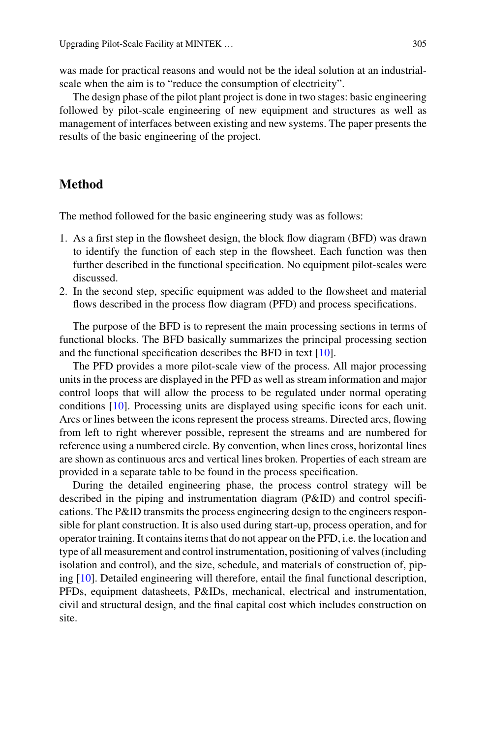was made for practical reasons and would not be the ideal solution at an industrialscale when the aim is to "reduce the consumption of electricity".

The design phase of the pilot plant project is done in two stages: basic engineering followed by pilot-scale engineering of new equipment and structures as well as management of interfaces between existing and new systems. The paper presents the results of the basic engineering of the project.

## **Method**

The method followed for the basic engineering study was as follows:

- 1. As a first step in the flowsheet design, the block flow diagram (BFD) was drawn to identify the function of each step in the flowsheet. Each function was then further described in the functional specification. No equipment pilot-scales were discussed.
- 2. In the second step, specific equipment was added to the flowsheet and material flows described in the process flow diagram (PFD) and process specifications.

The purpose of the BFD is to represent the main processing sections in terms of functional blocks. The BFD basically summarizes the principal processing section and the functional specification describes the BFD in text [\[10\]](#page-14-6).

The PFD provides a more pilot-scale view of the process. All major processing units in the process are displayed in the PFD as well as stream information and major control loops that will allow the process to be regulated under normal operating conditions [\[10\]](#page-14-6). Processing units are displayed using specific icons for each unit. Arcs or lines between the icons represent the process streams. Directed arcs, flowing from left to right wherever possible, represent the streams and are numbered for reference using a numbered circle. By convention, when lines cross, horizontal lines are shown as continuous arcs and vertical lines broken. Properties of each stream are provided in a separate table to be found in the process specification.

During the detailed engineering phase, the process control strategy will be described in the piping and instrumentation diagram (P&ID) and control specifications. The P&ID transmits the process engineering design to the engineers responsible for plant construction. It is also used during start-up, process operation, and for operator training. It contains items that do not appear on the PFD, i.e. the location and type of all measurement and control instrumentation, positioning of valves (including isolation and control), and the size, schedule, and materials of construction of, piping [\[10](#page-14-6)]. Detailed engineering will therefore, entail the final functional description, PFDs, equipment datasheets, P&IDs, mechanical, electrical and instrumentation, civil and structural design, and the final capital cost which includes construction on site.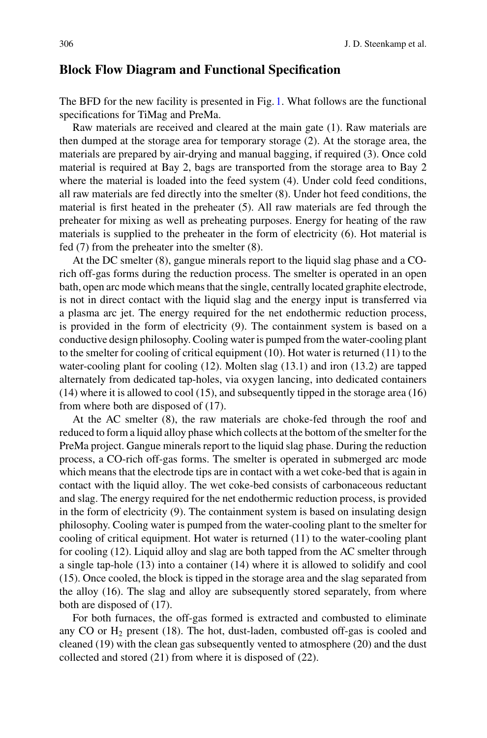## **Block Flow Diagram and Functional Specification**

The BFD for the new facility is presented in Fig. [1.](#page-4-0) What follows are the functional specifications for TiMag and PreMa.

Raw materials are received and cleared at the main gate (1). Raw materials are then dumped at the storage area for temporary storage (2). At the storage area, the materials are prepared by air-drying and manual bagging, if required (3). Once cold material is required at Bay 2, bags are transported from the storage area to Bay 2 where the material is loaded into the feed system (4). Under cold feed conditions, all raw materials are fed directly into the smelter (8). Under hot feed conditions, the material is first heated in the preheater (5). All raw materials are fed through the preheater for mixing as well as preheating purposes. Energy for heating of the raw materials is supplied to the preheater in the form of electricity (6). Hot material is fed (7) from the preheater into the smelter (8).

At the DC smelter (8), gangue minerals report to the liquid slag phase and a COrich off-gas forms during the reduction process. The smelter is operated in an open bath, open arc mode which means that the single, centrally located graphite electrode, is not in direct contact with the liquid slag and the energy input is transferred via a plasma arc jet. The energy required for the net endothermic reduction process, is provided in the form of electricity (9). The containment system is based on a conductive design philosophy. Cooling water is pumped from the water-cooling plant to the smelter for cooling of critical equipment (10). Hot water is returned (11) to the water-cooling plant for cooling (12). Molten slag (13.1) and iron (13.2) are tapped alternately from dedicated tap-holes, via oxygen lancing, into dedicated containers (14) where it is allowed to cool (15), and subsequently tipped in the storage area (16) from where both are disposed of (17).

At the AC smelter (8), the raw materials are choke-fed through the roof and reduced to form a liquid alloy phase which collects at the bottom of the smelter for the PreMa project. Gangue minerals report to the liquid slag phase. During the reduction process, a CO-rich off-gas forms. The smelter is operated in submerged arc mode which means that the electrode tips are in contact with a wet coke-bed that is again in contact with the liquid alloy. The wet coke-bed consists of carbonaceous reductant and slag. The energy required for the net endothermic reduction process, is provided in the form of electricity (9). The containment system is based on insulating design philosophy. Cooling water is pumped from the water-cooling plant to the smelter for cooling of critical equipment. Hot water is returned (11) to the water-cooling plant for cooling (12). Liquid alloy and slag are both tapped from the AC smelter through a single tap-hole (13) into a container (14) where it is allowed to solidify and cool (15). Once cooled, the block is tipped in the storage area and the slag separated from the alloy (16). The slag and alloy are subsequently stored separately, from where both are disposed of (17).

For both furnaces, the off-gas formed is extracted and combusted to eliminate any CO or  $H_2$  present (18). The hot, dust-laden, combusted off-gas is cooled and cleaned (19) with the clean gas subsequently vented to atmosphere (20) and the dust collected and stored (21) from where it is disposed of (22).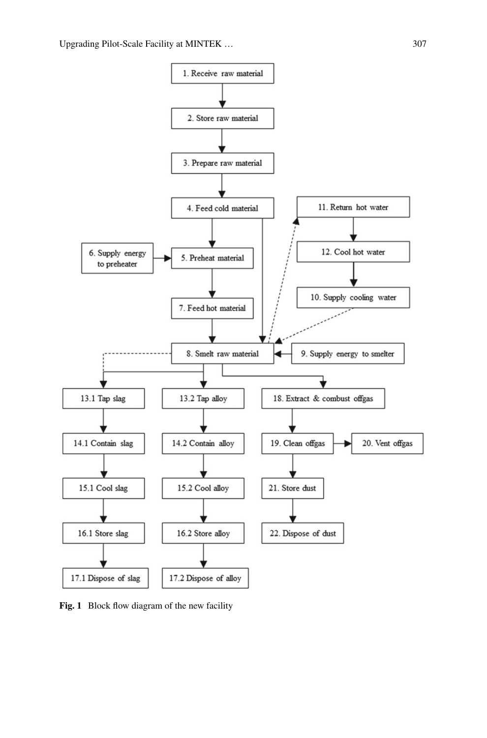

<span id="page-4-0"></span>**Fig. 1** Block flow diagram of the new facility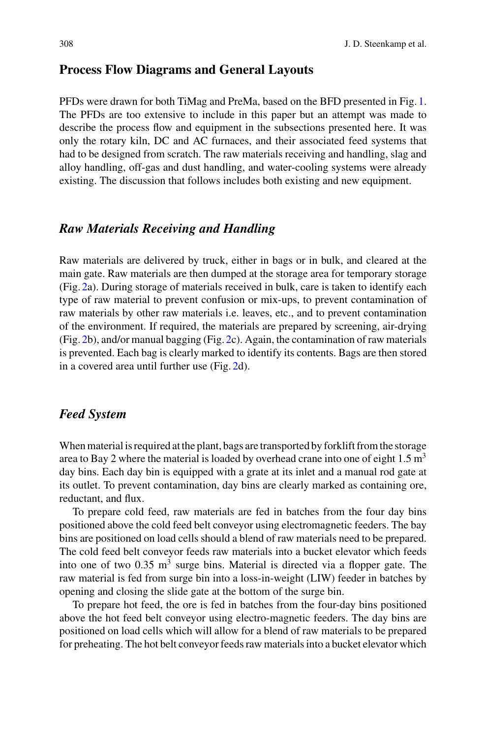## **Process Flow Diagrams and General Layouts**

PFDs were drawn for both TiMag and PreMa, based on the BFD presented in Fig. [1.](#page-4-0) The PFDs are too extensive to include in this paper but an attempt was made to describe the process flow and equipment in the subsections presented here. It was only the rotary kiln, DC and AC furnaces, and their associated feed systems that had to be designed from scratch. The raw materials receiving and handling, slag and alloy handling, off-gas and dust handling, and water-cooling systems were already existing. The discussion that follows includes both existing and new equipment.

## *Raw Materials Receiving and Handling*

Raw materials are delivered by truck, either in bags or in bulk, and cleared at the main gate. Raw materials are then dumped at the storage area for temporary storage (Fig. [2a](#page-6-0)). During storage of materials received in bulk, care is taken to identify each type of raw material to prevent confusion or mix-ups, to prevent contamination of raw materials by other raw materials i.e. leaves, etc., and to prevent contamination of the environment. If required, the materials are prepared by screening, air-drying (Fig. [2b](#page-6-0)), and/or manual bagging (Fig. [2c](#page-6-0)). Again, the contamination of raw materials is prevented. Each bag is clearly marked to identify its contents. Bags are then stored in a covered area until further use (Fig. [2d](#page-6-0)).

#### *Feed System*

When material is required at the plant, bags are transported by forklift from the storage area to Bay 2 where the material is loaded by overhead crane into one of eight  $1.5 \text{ m}^3$ day bins. Each day bin is equipped with a grate at its inlet and a manual rod gate at its outlet. To prevent contamination, day bins are clearly marked as containing ore, reductant, and flux.

To prepare cold feed, raw materials are fed in batches from the four day bins positioned above the cold feed belt conveyor using electromagnetic feeders. The bay bins are positioned on load cells should a blend of raw materials need to be prepared. The cold feed belt conveyor feeds raw materials into a bucket elevator which feeds into one of two  $0.35 \text{ m}^3$  surge bins. Material is directed via a flopper gate. The raw material is fed from surge bin into a loss-in-weight (LIW) feeder in batches by opening and closing the slide gate at the bottom of the surge bin.

To prepare hot feed, the ore is fed in batches from the four-day bins positioned above the hot feed belt conveyor using electro-magnetic feeders. The day bins are positioned on load cells which will allow for a blend of raw materials to be prepared for preheating. The hot belt conveyor feeds raw materials into a bucket elevator which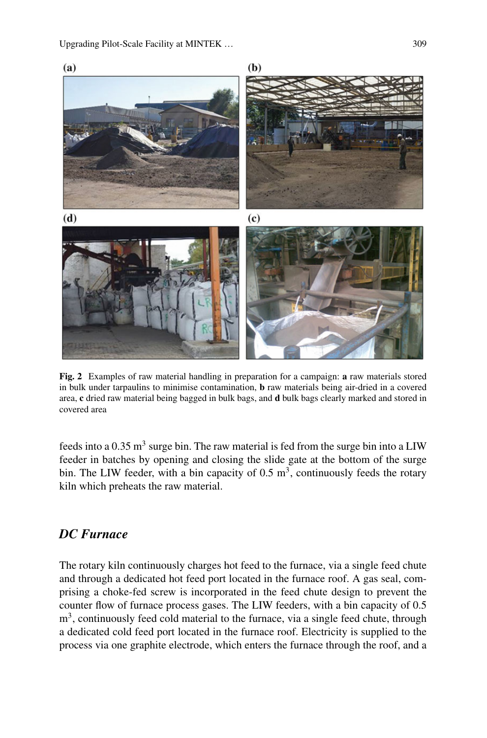

<span id="page-6-0"></span>**Fig. 2** Examples of raw material handling in preparation for a campaign: **a** raw materials stored in bulk under tarpaulins to minimise contamination, **b** raw materials being air-dried in a covered area, **c** dried raw material being bagged in bulk bags, and **d** bulk bags clearly marked and stored in covered area

feeds into a  $0.35 \text{ m}^3$  surge bin. The raw material is fed from the surge bin into a LIW feeder in batches by opening and closing the slide gate at the bottom of the surge bin. The LIW feeder, with a bin capacity of  $0.5 \text{ m}^3$ , continuously feeds the rotary kiln which preheats the raw material.

## *DC Furnace*

The rotary kiln continuously charges hot feed to the furnace, via a single feed chute and through a dedicated hot feed port located in the furnace roof. A gas seal, comprising a choke-fed screw is incorporated in the feed chute design to prevent the counter flow of furnace process gases. The LIW feeders, with a bin capacity of 0.5  $m<sup>3</sup>$ , continuously feed cold material to the furnace, via a single feed chute, through a dedicated cold feed port located in the furnace roof. Electricity is supplied to the process via one graphite electrode, which enters the furnace through the roof, and a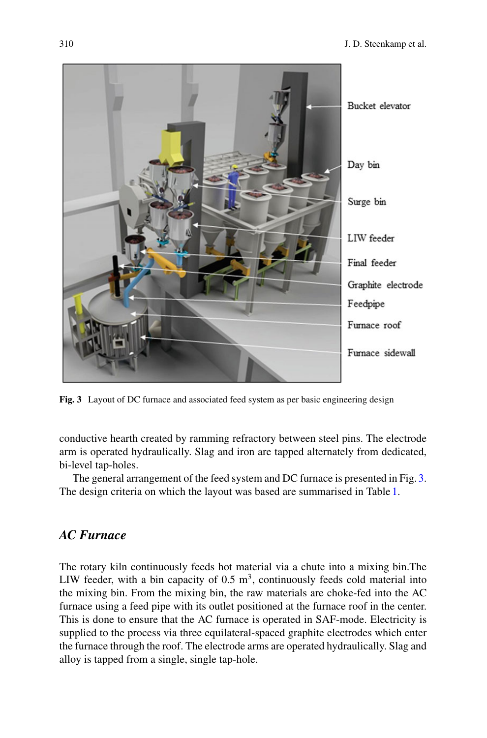

**Fig. 3** Layout of DC furnace and associated feed system as per basic engineering design

<span id="page-7-0"></span>conductive hearth created by ramming refractory between steel pins. The electrode arm is operated hydraulically. Slag and iron are tapped alternately from dedicated, bi-level tap-holes.

The general arrangement of the feed system and DC furnace is presented in Fig. [3.](#page-7-0) The design criteria on which the layout was based are summarised in Table [1.](#page-8-0)

# *AC Furnace*

The rotary kiln continuously feeds hot material via a chute into a mixing bin.The LIW feeder, with a bin capacity of  $0.5 \text{ m}^3$ , continuously feeds cold material into the mixing bin. From the mixing bin, the raw materials are choke-fed into the AC furnace using a feed pipe with its outlet positioned at the furnace roof in the center. This is done to ensure that the AC furnace is operated in SAF-mode. Electricity is supplied to the process via three equilateral-spaced graphite electrodes which enter the furnace through the roof. The electrode arms are operated hydraulically. Slag and alloy is tapped from a single, single tap-hole.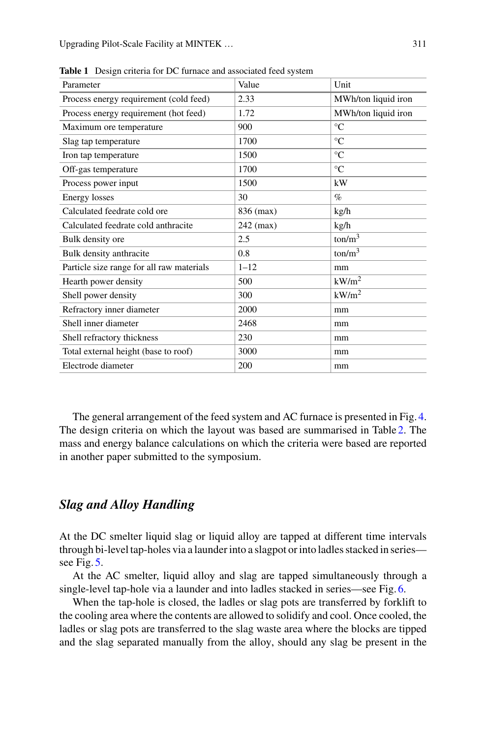| Parameter                                 | Value     | Unit                |
|-------------------------------------------|-----------|---------------------|
| Process energy requirement (cold feed)    | 2.33      | MWh/ton liquid iron |
| Process energy requirement (hot feed)     | 1.72      | MWh/ton liquid iron |
| Maximum ore temperature                   | 900       | $\rm ^{\circ}C$     |
| Slag tap temperature                      | 1700      | $\rm ^{\circ}C$     |
| Iron tap temperature                      | 1500      | $\rm ^{\circ}C$     |
| Off-gas temperature                       | 1700      | $\rm ^{\circ}C$     |
| Process power input                       | 1500      | kW                  |
| <b>Energy losses</b>                      | 30        | $\%$                |
| Calculated feedrate cold ore              | 836 (max) | kg/h                |
| Calculated feedrate cold anthracite       | 242 (max) | kg/h                |
| Bulk density ore                          | 2.5       | $\text{ton/m}^3$    |
| Bulk density anthracite                   | 0.8       | ton/m <sup>3</sup>  |
| Particle size range for all raw materials | $1 - 12$  | mm                  |
| Hearth power density                      | 500       | kW/m <sup>2</sup>   |
| Shell power density                       | 300       | kW/m <sup>2</sup>   |
| Refractory inner diameter                 | 2000      | mm                  |
| Shell inner diameter                      | 2468      | mm                  |
| Shell refractory thickness                | 230       | mm                  |
| Total external height (base to roof)      | 3000      | mm                  |
| Electrode diameter                        | 200       | mm                  |

<span id="page-8-0"></span>**Table 1** Design criteria for DC furnace and associated feed system

The general arrangement of the feed system and AC furnace is presented in Fig. [4.](#page-9-0) The design criteria on which the layout was based are summarised in Table [2.](#page-10-0) The mass and energy balance calculations on which the criteria were based are reported in another paper submitted to the symposium.

## *Slag and Alloy Handling*

At the DC smelter liquid slag or liquid alloy are tapped at different time intervals through bi-level tap-holes via a launder into a slagpot or into ladles stacked in series see Fig. [5.](#page-11-0)

At the AC smelter, liquid alloy and slag are tapped simultaneously through a single-level tap-hole via a launder and into ladles stacked in series—see Fig. [6.](#page-11-1)

When the tap-hole is closed, the ladles or slag pots are transferred by forklift to the cooling area where the contents are allowed to solidify and cool. Once cooled, the ladles or slag pots are transferred to the slag waste area where the blocks are tipped and the slag separated manually from the alloy, should any slag be present in the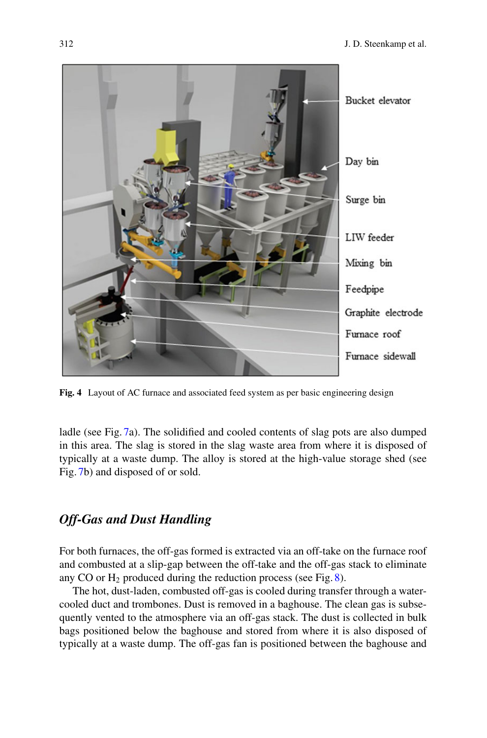

**Fig. 4** Layout of AC furnace and associated feed system as per basic engineering design

<span id="page-9-0"></span>ladle (see Fig. [7a](#page-12-0)). The solidified and cooled contents of slag pots are also dumped in this area. The slag is stored in the slag waste area from where it is disposed of typically at a waste dump. The alloy is stored at the high-value storage shed (see Fig. [7b](#page-12-0)) and disposed of or sold.

## *Off-Gas and Dust Handling*

For both furnaces, the off-gas formed is extracted via an off-take on the furnace roof and combusted at a slip-gap between the off-take and the off-gas stack to eliminate any CO or  $H_2$  produced during the reduction process (see Fig. [8\)](#page-12-1).

The hot, dust-laden, combusted off-gas is cooled during transfer through a watercooled duct and trombones. Dust is removed in a baghouse. The clean gas is subsequently vented to the atmosphere via an off-gas stack. The dust is collected in bulk bags positioned below the baghouse and stored from where it is also disposed of typically at a waste dump. The off-gas fan is positioned between the baghouse and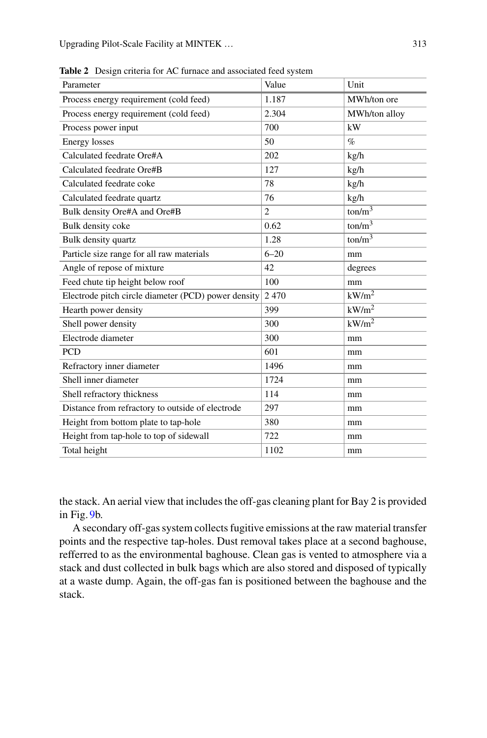| Value                                               | Unit              |
|-----------------------------------------------------|-------------------|
| 1.187                                               | MWh/ton ore       |
| 2.304                                               | MWh/ton alloy     |
| 700                                                 | kW                |
| 50                                                  | $\%$              |
| 202                                                 | kg/h              |
| 127                                                 | kg/h              |
| 78                                                  | kg/h              |
| 76                                                  | kg/h              |
| $\overline{c}$                                      | $\text{ton/m}^3$  |
| 0.62                                                | $\text{ton/m}^3$  |
| 1.28                                                | $\text{ton/m}^3$  |
| $6 - 20$                                            | mm                |
| 42                                                  | degrees           |
| 100                                                 | mm                |
| 2470                                                | kW/m <sup>2</sup> |
| 399                                                 | kW/m <sup>2</sup> |
| 300                                                 | kW/m <sup>2</sup> |
| 300                                                 | mm                |
| 601                                                 | mm                |
| 1496                                                | mm                |
| 1724                                                | mm                |
| 114                                                 | mm                |
| 297                                                 | mm                |
| 380                                                 | mm                |
| 722                                                 | mm                |
| 1102                                                | mm                |
| Electrode pitch circle diameter (PCD) power density |                   |

<span id="page-10-0"></span>**Table 2** Design criteria for AC furnace and associated feed system

the stack. An aerial view that includes the off-gas cleaning plant for Bay 2 is provided in Fig. [9b](#page-13-0).

A secondary off-gas system collects fugitive emissions at the raw material transfer points and the respective tap-holes. Dust removal takes place at a second baghouse, refferred to as the environmental baghouse. Clean gas is vented to atmosphere via a stack and dust collected in bulk bags which are also stored and disposed of typically at a waste dump. Again, the off-gas fan is positioned between the baghouse and the stack.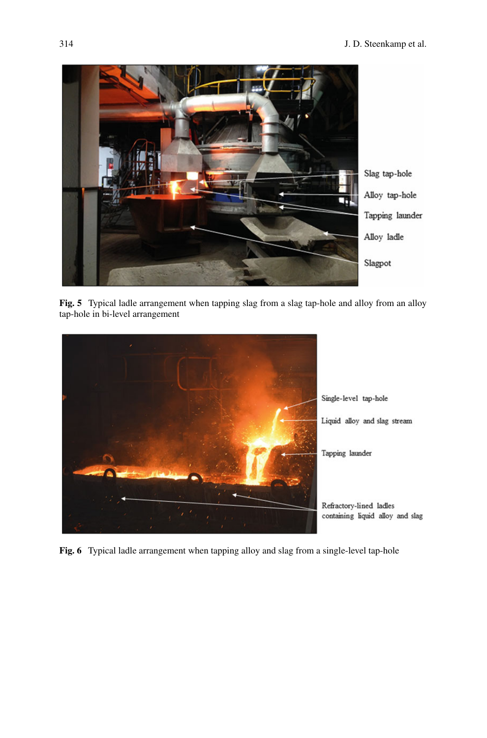

Fig. 5 Typical ladle arrangement when tapping slag from a slag tap-hole and alloy from an alloy tap-hole in bi-level arrangement

<span id="page-11-1"></span><span id="page-11-0"></span>

**Fig. 6** Typical ladle arrangement when tapping alloy and slag from a single-level tap-hole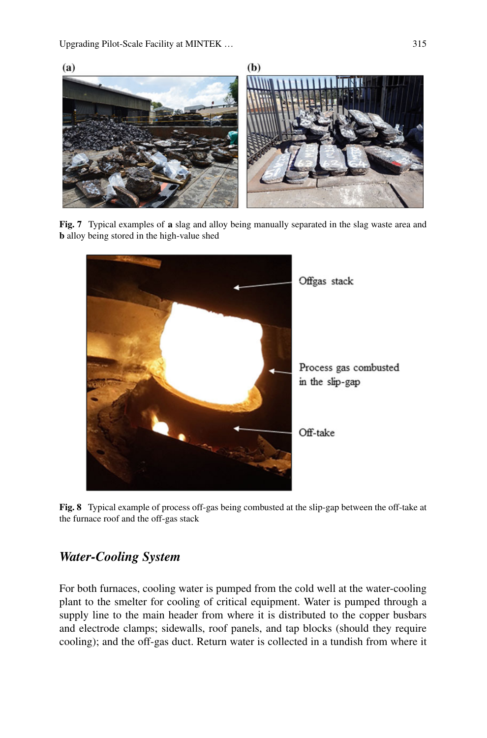

**Fig. 7** Typical examples of **a** slag and alloy being manually separated in the slag waste area and **b** alloy being stored in the high-value shed

<span id="page-12-0"></span>

**Fig. 8** Typical example of process off-gas being combusted at the slip-gap between the off-take at the furnace roof and the off-gas stack

# <span id="page-12-1"></span>*Water-Cooling System*

For both furnaces, cooling water is pumped from the cold well at the water-cooling plant to the smelter for cooling of critical equipment. Water is pumped through a supply line to the main header from where it is distributed to the copper busbars and electrode clamps; sidewalls, roof panels, and tap blocks (should they require cooling); and the off-gas duct. Return water is collected in a tundish from where it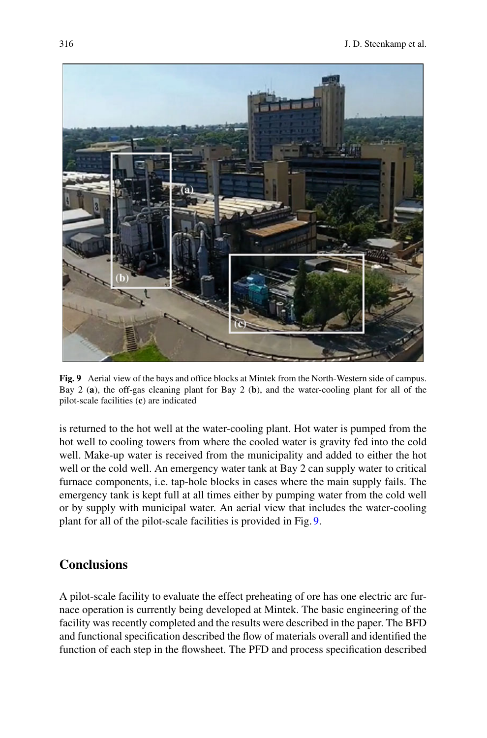

**Fig. 9** Aerial view of the bays and office blocks at Mintek from the North-Western side of campus. Bay 2 (**a**), the off-gas cleaning plant for Bay 2 (**b**), and the water-cooling plant for all of the pilot-scale facilities (**c**) are indicated

<span id="page-13-0"></span>is returned to the hot well at the water-cooling plant. Hot water is pumped from the hot well to cooling towers from where the cooled water is gravity fed into the cold well. Make-up water is received from the municipality and added to either the hot well or the cold well. An emergency water tank at Bay 2 can supply water to critical furnace components, i.e. tap-hole blocks in cases where the main supply fails. The emergency tank is kept full at all times either by pumping water from the cold well or by supply with municipal water. An aerial view that includes the water-cooling plant for all of the pilot-scale facilities is provided in Fig. [9.](#page-13-0)

## **Conclusions**

A pilot-scale facility to evaluate the effect preheating of ore has one electric arc furnace operation is currently being developed at Mintek. The basic engineering of the facility was recently completed and the results were described in the paper. The BFD and functional specification described the flow of materials overall and identified the function of each step in the flowsheet. The PFD and process specification described